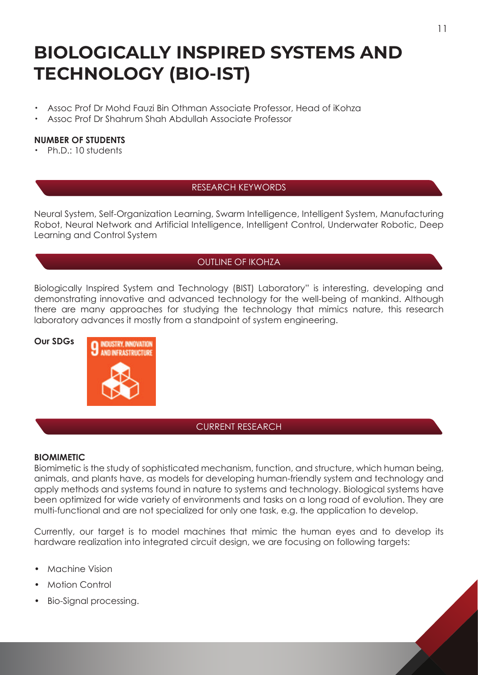# **BIOLOGICALLY INSPIRED SYSTEMS AND TECHNOLOGY (BIO-IST)**

- ・ Assoc Prof Dr Mohd Fauzi Bin Othman Associate Professor, Head of iKohza
- Assoc Prof Dr Shahrum Shah Abdullah Associate Professor

# **NUMBER OF STUDENTS**

・ Ph.D.: 10 students

# RESEARCH KEYWORDS

Neural System, Self-Organization Learning, Swarm Intelligence, Intelligent System, Manufacturing Robot, Neural Network and Artificial Intelligence, Intelligent Control, Underwater Robotic, Deep Learning and Control System

# OUTLINE OF IKOHZA

Biologically Inspired System and Technology (BIST) Laboratory" is interesting, developing and demonstrating innovative and advanced technology for the well-being of mankind. Although there are many approaches for studying the technology that mimics nature, this research laboratory advances it mostly from a standpoint of system engineering.



## CURRENT RESEARCH

#### **BIOMIMETIC**

Biomimetic is the study of sophisticated mechanism, function, and structure, which human being, animals, and plants have, as models for developing human-friendly system and technology and apply methods and systems found in nature to systems and technology. Biological systems have been optimized for wide variety of environments and tasks on a long road of evolution. They are multi-functional and are not specialized for only one task, e.g. the application to develop.

Currently, our target is to model machines that mimic the human eyes and to develop its hardware realization into integrated circuit design, we are focusing on following targets:

- Machine Vision
- Motion Control
- Bio-Signal processing.